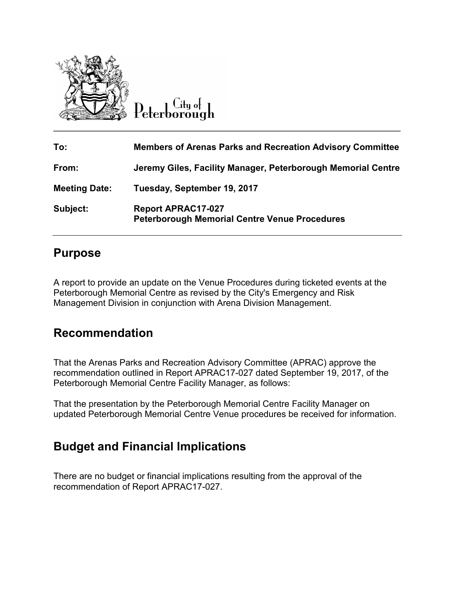

 $C$ ity of

| To:                  | <b>Members of Arenas Parks and Recreation Advisory Committee</b>                  |
|----------------------|-----------------------------------------------------------------------------------|
| From:                | Jeremy Giles, Facility Manager, Peterborough Memorial Centre                      |
| <b>Meeting Date:</b> | Tuesday, September 19, 2017                                                       |
| Subject:             | <b>Report APRAC17-027</b><br><b>Peterborough Memorial Centre Venue Procedures</b> |

#### **Purpose**

A report to provide an update on the Venue Procedures during ticketed events at the Peterborough Memorial Centre as revised by the City's Emergency and Risk Management Division in conjunction with Arena Division Management.

### **Recommendation**

That the Arenas Parks and Recreation Advisory Committee (APRAC) approve the recommendation outlined in Report APRAC17-027 dated September 19, 2017, of the Peterborough Memorial Centre Facility Manager, as follows:

That the presentation by the Peterborough Memorial Centre Facility Manager on updated Peterborough Memorial Centre Venue procedures be received for information.

# **Budget and Financial Implications**

There are no budget or financial implications resulting from the approval of the recommendation of Report APRAC17-027.